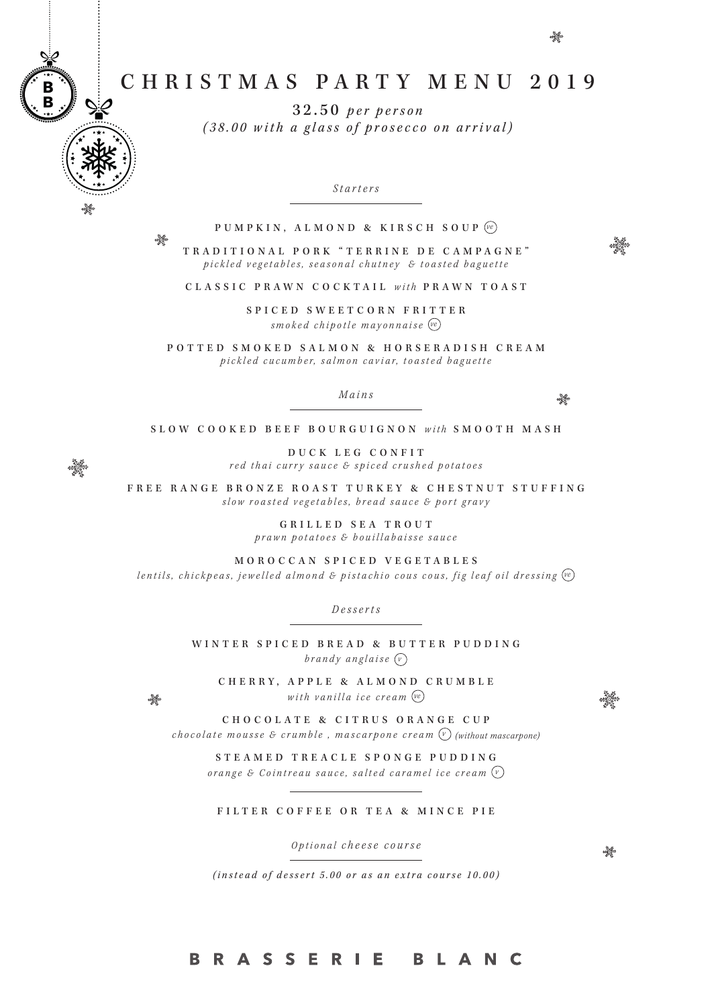# CHRISTMAS PARTY MENU 2019

32.50 *per person (38.00 with a glass of prosecco on arrival)*

*Starters*

### PUMPKIN, ALMOND & KIRSCH SOUP *ve*

TRADITIONAL PORK "TERRINE DE CAMPAGNE" pickled vegetables, seasonal chutney & toasted baguette

CLASSIC PRAWN COCKTAIL *with* PRAWN TOAST

SPICED SWEETCORN FRITTER *smoked chipotle mayonnaise ve*

POTTED SMOKED SALMON & HORSERADISH CREAM *p i c k l e d c u c u m b e r, s a l m o n c a v i a r, t o a s t e d b a g u e t t e* 

*Mains*

 $\frac{N_{\rm eff}}{N_{\rm eff}}$ 

\*\*\*\*

SLOW COOKED BEEF BOURGUIGNON *with* SMOOTH MASH

DUCK LEG CONFIT *red thai curry sauce & spiced crushed potatoes*

FREE RANGE BRONZE ROAST TURKEY & CHESTNUT STUFFING *slow roasted vegetables, bread sauce & port gravy*

> GRILLED SEA TROUT *prawn potatoes & bouillabaisse sauce*

MOROCCAN SPICED VEGETABLES

*lentils, chickpeas, jewelled almond & pistachio cous cous, fig leaf oil dressing ve*

*Desserts*

WINTER SPICED BREAD & BUTTER PUDDING brandy anglaise  $\left(\sqrt{\nu}\right)$ 

CHERRY, APPLE & ALMOND CRUMBLE *with vanilla ice cream ve*

CHOCOLATE & CITRUS ORANGE CUP *chocolate mousse & crumble, mascarpone cream*  $\binom{v}{v}$  *(without mascarpone)* 

STEAMED TREACLE SPONGE PUDDING *orange & Cointreau sauce, salted caramel ice cream v*

#### FILTER COFFEE OR TEA & MINCE PIE

*Optional cheese course*

 $\frac{\partial \mathcal{L}_{\mathcal{G}}}{\partial \mathcal{L}_{\mathcal{G}}}$ 

*(instead of dessert 5.00 or as an extra course 10.00)*

### B R A S S E R I E B L A N C

### 

 $\frac{\partial \mathcal{L}}{\partial \mathcal{L}}$ 

 $\frac{N_{\rm eff}}{N_{\rm eff}}$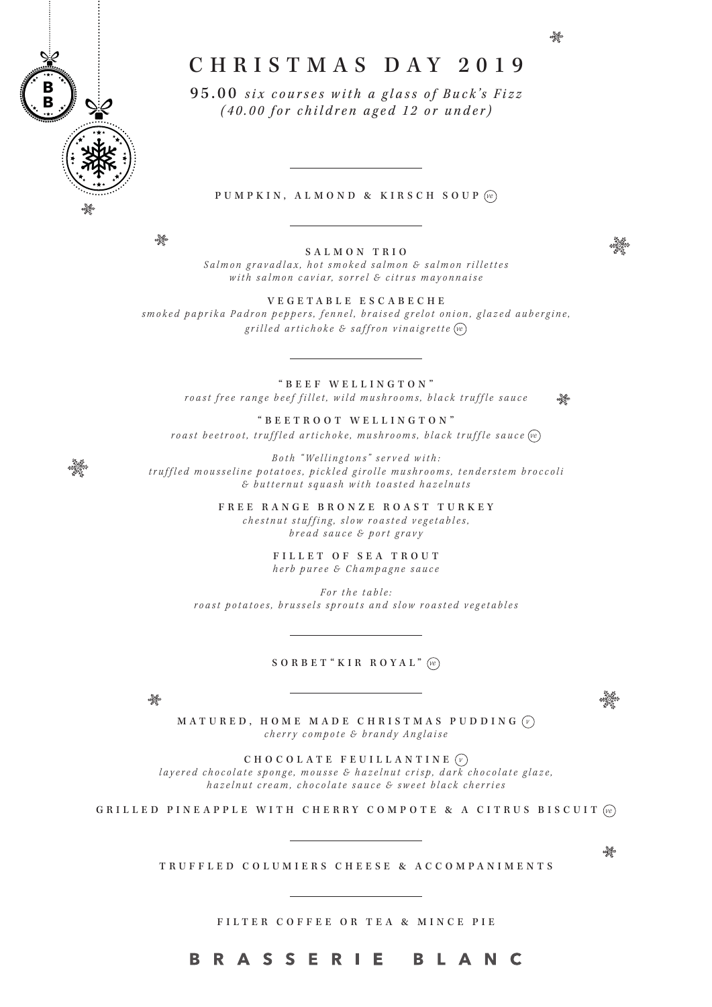

## CHRISTMAS DAY 2019

95.00 *six courses with a glass of Buck's Fizz (40.00 for children aged 12 or under)*

#### PUMPKIN, ALMOND & KIRSCH SOUP *ve*

4

SALMON TRIO *Salmon gravadlax, hot smoked salmon & salmon rillettes with salmon caviar, sorrel & citrus mayonnaise*

VEGETABLE ESCABECHE *smoked paprika Padron peppers, fennel, braised grelot onion, glazed aubergine, grilled artichoke & saffron vinaigrette ve*

"BEEF WELLINGTON" *roast free range beef fillet, wild mushrooms, black truffle sauce*  $\frac{\partial \mathcal{L}_{\mathcal{F}}}{\partial \mathcal{L}_{\mathcal{F}}^{\mathcal{F}}}\left( \mathcal{L}_{\mathcal{F}}\right) =\frac{\partial \mathcal{L}_{\mathcal{F}}}{\partial \mathcal{L}_{\mathcal{F}}^{\mathcal{F}}}\left( \mathcal{L}_{\mathcal{F}}\right)$ 

"BEETROOT WELLINGTON" *roast beetroot, truffled artichoke, mushrooms, black truffle sauce ve*

*Both " Wellingtons" served with: truffled mousseline potatoes, pickled girolle mushrooms, tenderstem broccoli & butternut squash with toasted hazelnuts*

> FREE RANGE BRONZE ROAST TURKEY *chestnut stuffing, slow roasted vegetables, bread sauce & port gravy*

> > FILLET OF SEA TROUT *herb puree & Champagne sauce*

*For the table: roast potatoes, brussels sprouts and slow roasted vegetables*

#### SORBET "KIR ROYAL" *ve*

 $\frac{N_{\rm eff}}{N_{\rm eff}}$ 

angga

MATURED, HOME MADE CHRISTMAS PUDDING *v cherry compote & brandy Anglaise* 

CHOCOLATE FEUILLANTINE *v layered chocolate sponge, mousse & hazelnut crisp, dark chocolate glaze, hazelnut cream, chocolate sauce & sweet black cherries*

GRILLED PINEAPPLE WITH CHERRY COMPOTE & A CITRUS BISCUIT *ve*

TRUFFLED COLUMIERS CHEESE & ACCOMPANIMENTS

FILTER COFFEE OR TEA & MINCE PIE

4

\*\*\*\*

#### **BRASSERIE BLANC**